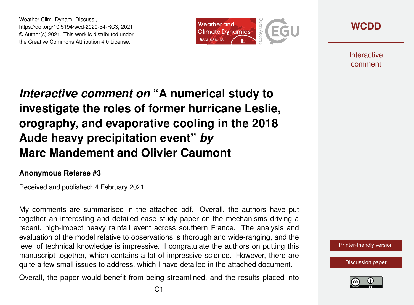Weather Clim. Dynam. Discuss., https://doi.org/10.5194/wcd-2020-54-RC3, 2021 © Author(s) 2021. This work is distributed under the Creative Commons Attribution 4.0 License.



**[WCDD](https://wcd.copernicus.org/preprints/)**

**Interactive** comment

## *Interactive comment on* **"A numerical study to investigate the roles of former hurricane Leslie, orography, and evaporative cooling in the 2018 Aude heavy precipitation event"** *by* **Marc Mandement and Olivier Caumont**

## **Anonymous Referee #3**

Received and published: 4 February 2021

My comments are summarised in the attached pdf. Overall, the authors have put together an interesting and detailed case study paper on the mechanisms driving a recent, high-impact heavy rainfall event across southern France. The analysis and evaluation of the model relative to observations is thorough and wide-ranging, and the level of technical knowledge is impressive. I congratulate the authors on putting this manuscript together, which contains a lot of impressive science. However, there are quite a few small issues to address, which I have detailed in the attached document.

Overall, the paper would benefit from being streamlined, and the results placed into



[Discussion paper](https://wcd.copernicus.org/preprints/wcd-2020-54)